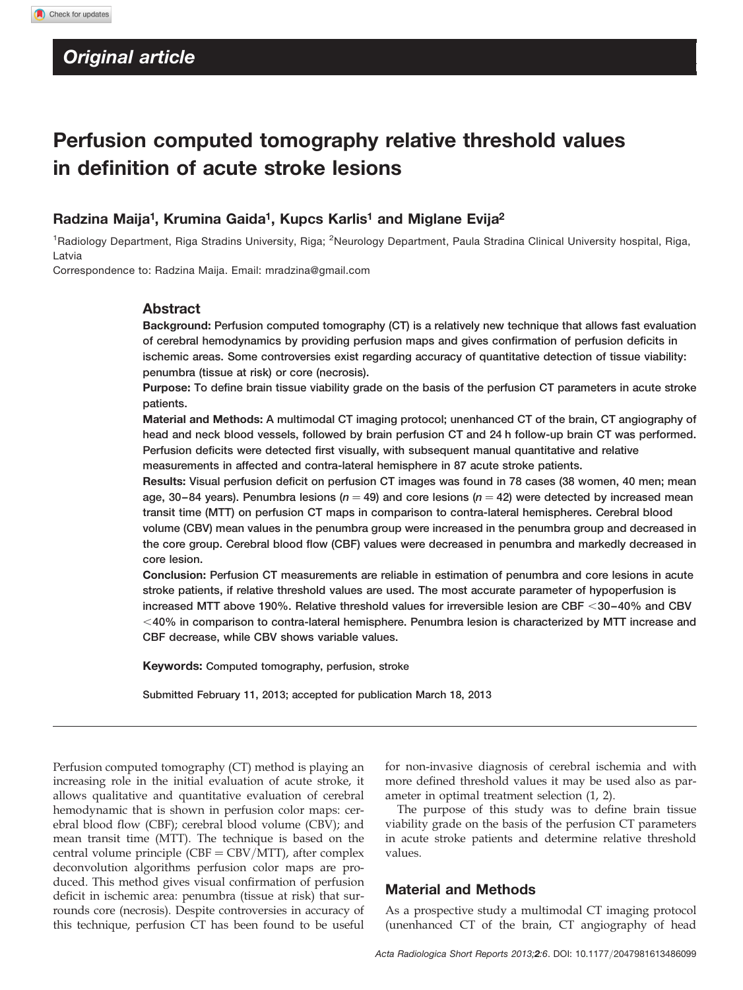# Perfusion computed tomography relative threshold values in definition of acute stroke lesions

# Radzina Maija<sup>1</sup>, Krumina Gaida<sup>1</sup>, Kupcs Karlis<sup>1</sup> and Miglane Evija<sup>2</sup>

<sup>1</sup>Radiology Department, Riga Stradins University, Riga; <sup>2</sup>Neurology Department, Paula Stradina Clinical University hospital, Riga, Latvia

Correspondence to: Radzina Maija. Email: [mradzina@gmail.com](mailto:mradzina@gmail.com)

## Abstract

Background: Perfusion computed tomography (CT) is a relatively new technique that allows fast evaluation of cerebral hemodynamics by providing perfusion maps and gives confirmation of perfusion deficits in ischemic areas. Some controversies exist regarding accuracy of quantitative detection of tissue viability: penumbra (tissue at risk) or core (necrosis).

Purpose: To define brain tissue viability grade on the basis of the perfusion CT parameters in acute stroke patients.

Material and Methods: A multimodal CT imaging protocol; unenhanced CT of the brain, CT angiography of head and neck blood vessels, followed by brain perfusion CT and 24 h follow-up brain CT was performed. Perfusion deficits were detected first visually, with subsequent manual quantitative and relative measurements in affected and contra-lateral hemisphere in 87 acute stroke patients.

Results: Visual perfusion deficit on perfusion CT images was found in 78 cases (38 women, 40 men; mean age, 30–84 years). Penumbra lesions ( $n = 49$ ) and core lesions ( $n = 42$ ) were detected by increased mean transit time (MTT) on perfusion CT maps in comparison to contra-lateral hemispheres. Cerebral blood volume (CBV) mean values in the penumbra group were increased in the penumbra group and decreased in the core group. Cerebral blood flow (CBF) values were decreased in penumbra and markedly decreased in core lesion.

Conclusion: Perfusion CT measurements are reliable in estimation of penumbra and core lesions in acute stroke patients, if relative threshold values are used. The most accurate parameter of hypoperfusion is increased MTT above 190%. Relative threshold values for irreversible lesion are CBF < 30-40% and CBV  $<$ 40% in comparison to contra-lateral hemisphere. Penumbra lesion is characterized by MTT increase and CBF decrease, while CBV shows variable values.

Keywords: Computed tomography, perfusion, stroke

Submitted February 11, 2013; accepted for publication March 18, 2013

Perfusion computed tomography (CT) method is playing an increasing role in the initial evaluation of acute stroke, it allows qualitative and quantitative evaluation of cerebral hemodynamic that is shown in perfusion color maps: cerebral blood flow (CBF); cerebral blood volume (CBV); and mean transit time (MTT). The technique is based on the central volume principle  $(CBF = CBV/MTT)$ , after complex deconvolution algorithms perfusion color maps are produced. This method gives visual confirmation of perfusion deficit in ischemic area: penumbra (tissue at risk) that surrounds core (necrosis). Despite controversies in accuracy of this technique, perfusion CT has been found to be useful

for non-invasive diagnosis of cerebral ischemia and with more defined threshold values it may be used also as parameter in optimal treatment selection (1, 2).

The purpose of this study was to define brain tissue viability grade on the basis of the perfusion CT parameters in acute stroke patients and determine relative threshold values.

### Material and Methods

As a prospective study a multimodal CT imaging protocol (unenhanced CT of the brain, CT angiography of head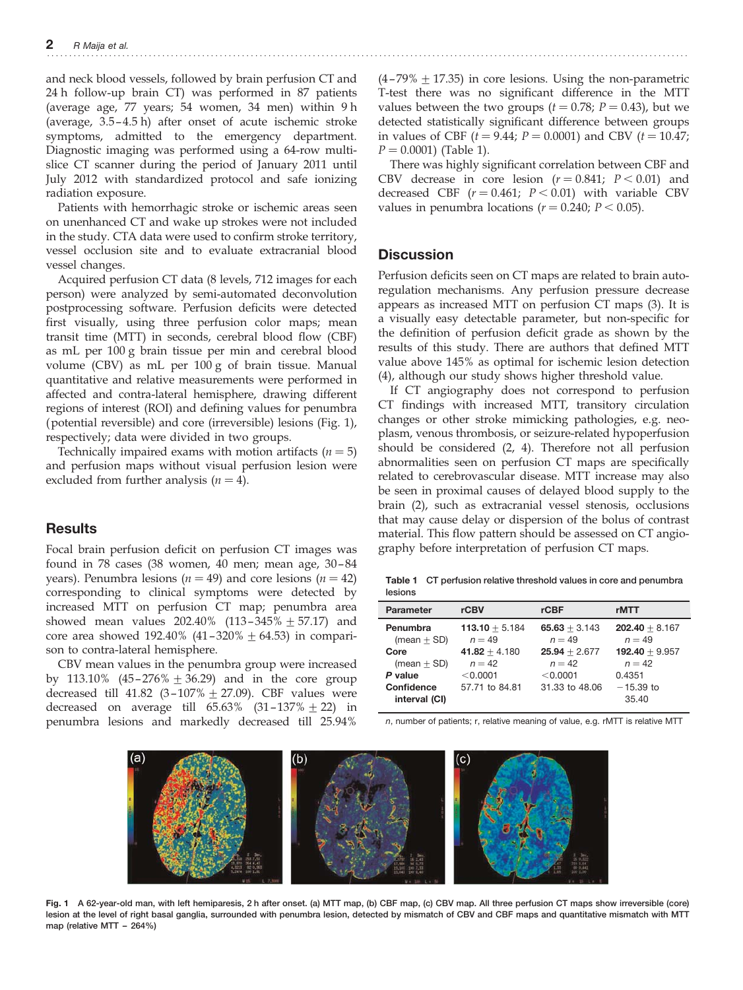and neck blood vessels, followed by brain perfusion CT and 24 h follow-up brain CT) was performed in 87 patients (average age, 77 years; 54 women, 34 men) within 9 h (average, 3.5 – 4.5 h) after onset of acute ischemic stroke symptoms, admitted to the emergency department. Diagnostic imaging was performed using a 64-row multislice CT scanner during the period of January 2011 until July 2012 with standardized protocol and safe ionizing radiation exposure.

Patients with hemorrhagic stroke or ischemic areas seen on unenhanced CT and wake up strokes were not included in the study. CTA data were used to confirm stroke territory, vessel occlusion site and to evaluate extracranial blood vessel changes.

Acquired perfusion CT data (8 levels, 712 images for each person) were analyzed by semi-automated deconvolution postprocessing software. Perfusion deficits were detected first visually, using three perfusion color maps; mean transit time (MTT) in seconds, cerebral blood flow (CBF) as mL per 100 g brain tissue per min and cerebral blood volume (CBV) as mL per 100 g of brain tissue. Manual quantitative and relative measurements were performed in affected and contra-lateral hemisphere, drawing different regions of interest (ROI) and defining values for penumbra (potential reversible) and core (irreversible) lesions (Fig. 1), respectively; data were divided in two groups.

Technically impaired exams with motion artifacts  $(n = 5)$ and perfusion maps without visual perfusion lesion were excluded from further analysis  $(n = 4)$ .

# **Results**

Focal brain perfusion deficit on perfusion CT images was found in  $78$  cases  $(38 \text{ women}, 40 \text{ men}; \text{ mean age}, 30-84 \text{ mm}$ years). Penumbra lesions ( $n = 49$ ) and core lesions ( $n = 42$ ) corresponding to clinical symptoms were detected by increased MTT on perfusion CT map; penumbra area showed mean values  $202.40\%$  (113-345%  $\pm$  57.17) and core area showed 192.40% (41-320%  $\pm$  64.53) in comparison to contra-lateral hemisphere.

CBV mean values in the penumbra group were increased by 113.10%  $(45-276\% + 36.29)$  and in the core group decreased till 41.82 (3-107%  $\pm$  27.09). CBF values were decreased on average till  $65.63\%$   $(31-137\% \pm 22)$  in penumbra lesions and markedly decreased till 25.94%

 $(4-79\% + 17.35)$  in core lesions. Using the non-parametric T-test there was no significant difference in the MTT values between the two groups  $(t = 0.78; P = 0.43)$ , but we detected statistically significant difference between groups in values of CBF  $(t = 9.44; P = 0.0001)$  and CBV  $(t = 10.47;$  $P = 0.0001$  (Table 1).

There was highly significant correlation between CBF and CBV decrease in core lesion  $(r = 0.841; P < 0.01)$  and decreased CBF  $(r = 0.461; P < 0.01)$  with variable CBV values in penumbra locations ( $r = 0.240$ ;  $P < 0.05$ ).

## **Discussion**

Perfusion deficits seen on CT maps are related to brain autoregulation mechanisms. Any perfusion pressure decrease appears as increased MTT on perfusion CT maps (3). It is a visually easy detectable parameter, but non-specific for the definition of perfusion deficit grade as shown by the results of this study. There are authors that defined MTT value above 145% as optimal for ischemic lesion detection (4), although our study shows higher threshold value.

If CT angiography does not correspond to perfusion CT findings with increased MTT, transitory circulation changes or other stroke mimicking pathologies, e.g. neoplasm, venous thrombosis, or seizure-related hypoperfusion should be considered (2, 4). Therefore not all perfusion abnormalities seen on perfusion CT maps are specifically related to cerebrovascular disease. MTT increase may also be seen in proximal causes of delayed blood supply to the brain (2), such as extracranial vessel stenosis, occlusions that may cause delay or dispersion of the bolus of contrast material. This flow pattern should be assessed on CT angiography before interpretation of perfusion CT maps.

Table 1 CT perfusion relative threshold values in core and penumbra lesions

| <b>Parameter</b>            | rCBV                         | rCBF                        | rMTT                         |
|-----------------------------|------------------------------|-----------------------------|------------------------------|
| Penumbra<br>(mean $\pm$ SD) | $113.10 + 5.184$<br>$n = 49$ | $65.63 + 3.143$<br>$n = 49$ | $202.40 + 8.167$<br>$n = 49$ |
| Core                        | $41.82 + 4.180$              | $25.94 + 2.677$             | $192.40 + 9.957$             |
| $(mean + SD)$               | $n = 42$                     | $n = 42$                    | $n = 42$                     |
| P value                     | < 0.0001                     | < 0.0001                    | 0.4351                       |
| Confidence<br>interval (CI) | 57.71 to 84.81               | 31.33 to 48.06              | $-15.39$ to<br>35.40         |

n, number of patients; r, relative meaning of value, e.g. rMTT is relative MTT



Fig. 1 A 62-year-old man, with left hemiparesis, 2 h after onset. (a) MTT map, (b) CBF map, (c) CBV map. All three perfusion CT maps show irreversible (core) lesion at the level of right basal ganglia, surrounded with penumbra lesion, detected by mismatch of CBV and CBF maps and quantitative mismatch with MTT map (relative MTT – 264%)